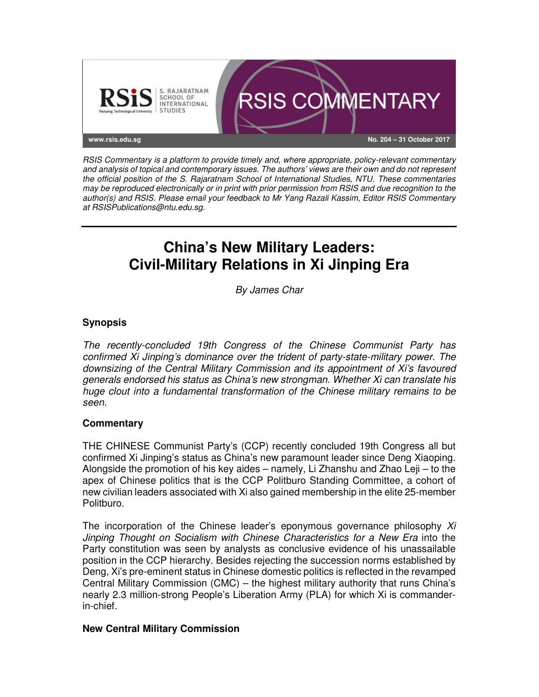

RSIS Commentary is a platform to provide timely and, where appropriate, policy-relevant commentary and analysis of topical and contemporary issues. The authors' views are their own and do not represent the official position of the S. Rajaratnam School of International Studies, NTU. These commentaries may be reproduced electronically or in print with prior permission from RSIS and due recognition to the author(s) and RSIS. Please email your feedback to Mr Yang Razali Kassim, Editor RSIS Commentary at RSISPublications@ntu.edu.sg.

# **China's New Military Leaders: Civil-Military Relations in Xi Jinping Era**

By James Char

## **Synopsis**

The recently-concluded 19th Congress of the Chinese Communist Party has confirmed Xi Jinping's dominance over the trident of party-state-military power. The downsizing of the Central Military Commission and its appointment of Xi's favoured generals endorsed his status as China's new strongman. Whether Xi can translate his huge clout into a fundamental transformation of the Chinese military remains to be seen.

## **Commentary**

THE CHINESE Communist Party's (CCP) recently concluded 19th Congress all but confirmed Xi Jinping's status as China's new paramount leader since Deng Xiaoping. Alongside the promotion of his key aides – namely, Li Zhanshu and Zhao Leji – to the apex of Chinese politics that is the CCP Politburo Standing Committee, a cohort of new civilian leaders associated with Xi also gained membership in the elite 25-member Politburo.

The incorporation of the Chinese leader's eponymous governance philosophy  $Xi$ Jinping Thought on Socialism with Chinese Characteristics for a New Era into the Party constitution was seen by analysts as conclusive evidence of his unassailable position in the CCP hierarchy. Besides rejecting the succession norms established by Deng, Xi's pre-eminent status in Chinese domestic politics is reflected in the revamped Central Military Commission (CMC) – the highest military authority that runs China's nearly 2.3 million-strong People's Liberation Army (PLA) for which Xi is commanderin-chief.

#### **New Central Military Commission**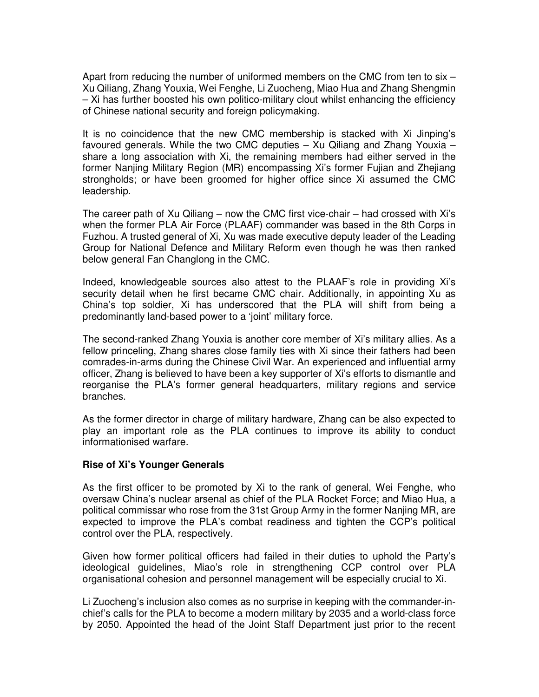Apart from reducing the number of uniformed members on the CMC from ten to six – Xu Qiliang, Zhang Youxia, Wei Fenghe, Li Zuocheng, Miao Hua and Zhang Shengmin – Xi has further boosted his own politico-military clout whilst enhancing the efficiency of Chinese national security and foreign policymaking.

It is no coincidence that the new CMC membership is stacked with Xi Jinping's favoured generals. While the two CMC deputies – Xu Qiliang and Zhang Youxia – share a long association with Xi, the remaining members had either served in the former Nanjing Military Region (MR) encompassing Xi's former Fujian and Zhejiang strongholds; or have been groomed for higher office since Xi assumed the CMC leadership.

The career path of Xu Qiliang – now the CMC first vice-chair – had crossed with Xi's when the former PLA Air Force (PLAAF) commander was based in the 8th Corps in Fuzhou. A trusted general of Xi, Xu was made executive deputy leader of the Leading Group for National Defence and Military Reform even though he was then ranked below general Fan Changlong in the CMC.

Indeed, knowledgeable sources also attest to the PLAAF's role in providing Xi's security detail when he first became CMC chair. Additionally, in appointing Xu as China's top soldier, Xi has underscored that the PLA will shift from being a predominantly land-based power to a 'joint' military force.

The second-ranked Zhang Youxia is another core member of Xi's military allies. As a fellow princeling, Zhang shares close family ties with Xi since their fathers had been comrades-in-arms during the Chinese Civil War. An experienced and influential army officer, Zhang is believed to have been a key supporter of Xi's efforts to dismantle and reorganise the PLA's former general headquarters, military regions and service branches.

As the former director in charge of military hardware, Zhang can be also expected to play an important role as the PLA continues to improve its ability to conduct informationised warfare.

#### **Rise of Xi's Younger Generals**

As the first officer to be promoted by Xi to the rank of general, Wei Fenghe, who oversaw China's nuclear arsenal as chief of the PLA Rocket Force; and Miao Hua, a political commissar who rose from the 31st Group Army in the former Nanjing MR, are expected to improve the PLA's combat readiness and tighten the CCP's political control over the PLA, respectively.

Given how former political officers had failed in their duties to uphold the Party's ideological guidelines, Miao's role in strengthening CCP control over PLA organisational cohesion and personnel management will be especially crucial to Xi.

Li Zuocheng's inclusion also comes as no surprise in keeping with the commander-inchief's calls for the PLA to become a modern military by 2035 and a world-class force by 2050. Appointed the head of the Joint Staff Department just prior to the recent